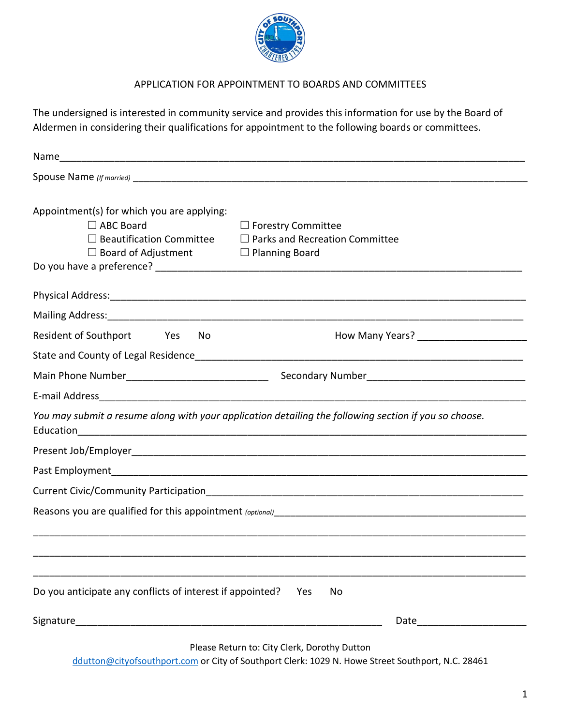

# APPLICATION FOR APPOINTMENT TO BOARDS AND COMMITTEES

The undersigned is interested in community service and provides this information for use by the Board of Aldermen in considering their qualifications for appointment to the following boards or committees.

| Appointment(s) for which you are applying:<br>$\Box$ ABC Board<br>$\Box$ Forestry Committee<br>$\Box$ Beautification Committee $\Box$ Parks and Recreation Committee<br>$\Box$ Board of Adjustment<br>$\Box$ Planning Board    |
|--------------------------------------------------------------------------------------------------------------------------------------------------------------------------------------------------------------------------------|
|                                                                                                                                                                                                                                |
|                                                                                                                                                                                                                                |
| Resident of Southport Yes<br>No.                                                                                                                                                                                               |
|                                                                                                                                                                                                                                |
|                                                                                                                                                                                                                                |
|                                                                                                                                                                                                                                |
| You may submit a resume along with your application detailing the following section if you so choose.                                                                                                                          |
|                                                                                                                                                                                                                                |
|                                                                                                                                                                                                                                |
|                                                                                                                                                                                                                                |
|                                                                                                                                                                                                                                |
|                                                                                                                                                                                                                                |
| Do you anticipate any conflicts of interest if appointed?<br>Yes<br>No                                                                                                                                                         |
| Date and the second second second second second second second second second second second second second second second second second second second second second second second second second second second second second second |

Please Return to: City Clerk, Dorothy Dutton

[ddutton@cityofsouthport.com](mailto:ddutton@cityofsouthport.com) or City of Southport Clerk: 1029 N. Howe Street Southport, N.C. 28461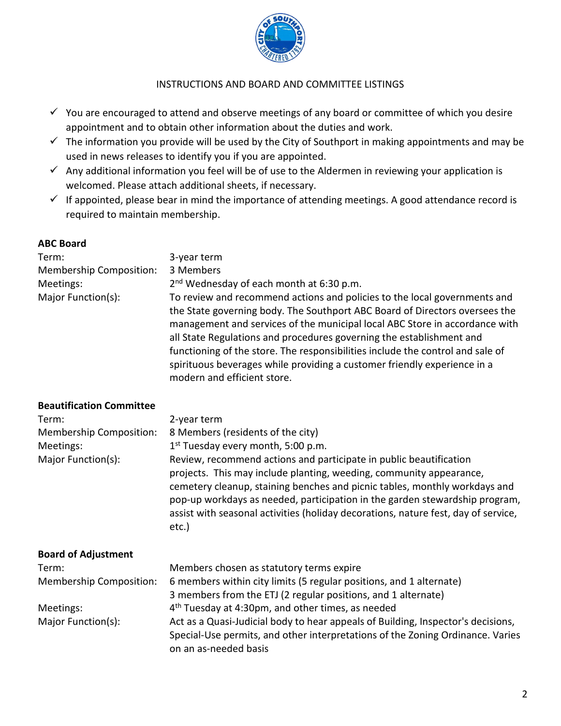

### INSTRUCTIONS AND BOARD AND COMMITTEE LISTINGS

- $\checkmark$  You are encouraged to attend and observe meetings of any board or committee of which you desire appointment and to obtain other information about the duties and work.
- $\checkmark$  The information you provide will be used by the City of Southport in making appointments and may be used in news releases to identify you if you are appointed.
- $\checkmark$  Any additional information you feel will be of use to the Aldermen in reviewing your application is welcomed. Please attach additional sheets, if necessary.
- $\checkmark$  If appointed, please bear in mind the importance of attending meetings. A good attendance record is required to maintain membership.

# **ABC Board**

| Term:                   | 3-year term                                                                                                                                                                                                                                                                                                                                                                                                                                                                                                  |
|-------------------------|--------------------------------------------------------------------------------------------------------------------------------------------------------------------------------------------------------------------------------------------------------------------------------------------------------------------------------------------------------------------------------------------------------------------------------------------------------------------------------------------------------------|
| Membership Composition: | 3 Members                                                                                                                                                                                                                                                                                                                                                                                                                                                                                                    |
| Meetings:               | 2 <sup>nd</sup> Wednesday of each month at 6:30 p.m.                                                                                                                                                                                                                                                                                                                                                                                                                                                         |
| Major Function(s):      | To review and recommend actions and policies to the local governments and<br>the State governing body. The Southport ABC Board of Directors oversees the<br>management and services of the municipal local ABC Store in accordance with<br>all State Regulations and procedures governing the establishment and<br>functioning of the store. The responsibilities include the control and sale of<br>spirituous beverages while providing a customer friendly experience in a<br>modern and efficient store. |

### **Beautification Committee**

| Term:                          | 2-year term                                                                                                                                                                                                                                                                                                                                                                                           |
|--------------------------------|-------------------------------------------------------------------------------------------------------------------------------------------------------------------------------------------------------------------------------------------------------------------------------------------------------------------------------------------------------------------------------------------------------|
| <b>Membership Composition:</b> | 8 Members (residents of the city)                                                                                                                                                                                                                                                                                                                                                                     |
| Meetings:                      | $1st$ Tuesday every month, 5:00 p.m.                                                                                                                                                                                                                                                                                                                                                                  |
| Major Function(s):             | Review, recommend actions and participate in public beautification<br>projects. This may include planting, weeding, community appearance,<br>cemetery cleanup, staining benches and picnic tables, monthly workdays and<br>pop-up workdays as needed, participation in the garden stewardship program,<br>assist with seasonal activities (holiday decorations, nature fest, day of service,<br>etc.) |
| <b>Board of Adjustment</b>     |                                                                                                                                                                                                                                                                                                                                                                                                       |
| Term:                          | Members chosen as statutory terms expire                                                                                                                                                                                                                                                                                                                                                              |
| Membership Composition:        | 6 members within city limits (5 regular positions, and 1 alternate)                                                                                                                                                                                                                                                                                                                                   |
|                                | 3 members from the ETJ (2 regular positions, and 1 alternate)                                                                                                                                                                                                                                                                                                                                         |
| Meetings:                      | 4 <sup>th</sup> Tuesday at 4:30pm, and other times, as needed                                                                                                                                                                                                                                                                                                                                         |
| Major Function(s):             | Act as a Quasi-Judicial body to hear appeals of Building, Inspector's decisions,<br>Special-Use permits, and other interpretations of the Zoning Ordinance. Varies<br>on an as-needed basis                                                                                                                                                                                                           |